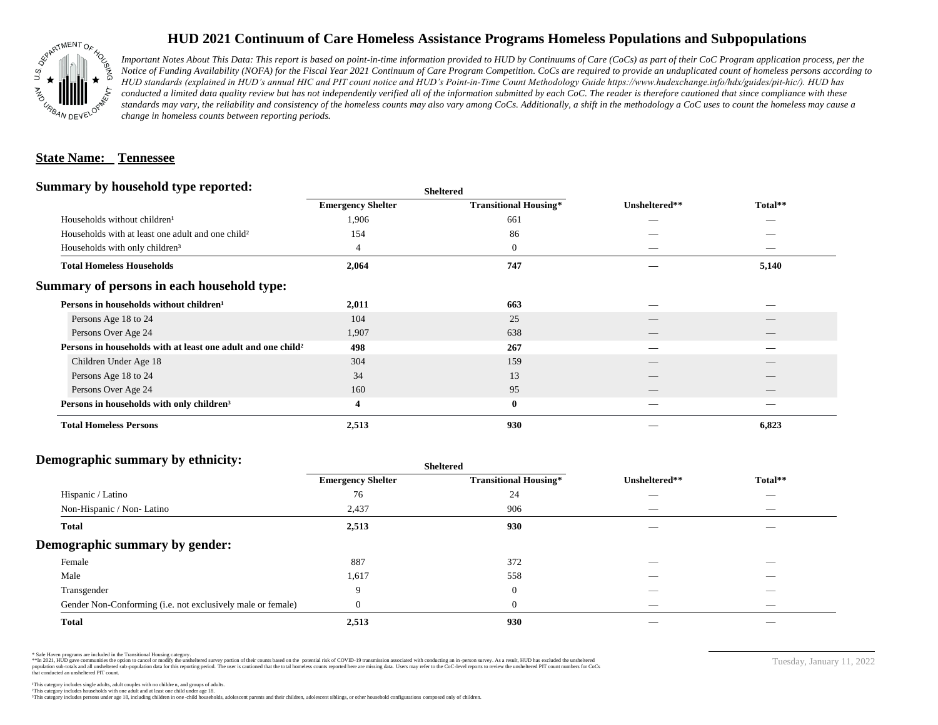

# **HUD 2021 Continuum of Care Homeless Assistance Programs Homeless Populations and Subpopulations**

*Important Notes About This Data: This report is based on point-in-time information provided to HUD by Continuums of Care (CoCs) as part of their CoC Program application process, per the Notice of Funding Availability (NOFA) for the Fiscal Year 2021 Continuum of Care Program Competition. CoCs are required to provide an unduplicated count of homeless persons according to HUD standards (explained in HUD's annual HIC and PIT count notice and HUD's Point-in-Time Count Methodology Guide https://www.hudexchange.info/hdx/guides/pit-hic/). HUD has*  conducted a limited data quality review but has not independently verified all of the information submitted by each CoC. The reader is therefore cautioned that since compliance with these standards may vary, the reliability and consistency of the homeless counts may also vary among CoCs. Additionally, a shift in the methodology a CoC uses to count the homeless may cause a *change in homeless counts between reporting periods.*

### **State Name: Tennessee**

### **Summary by household type reported:**

| Summary by household type reported:                                      |                          | <b>Sheltered</b>             | Unsheltered**            |                                 |  |  |
|--------------------------------------------------------------------------|--------------------------|------------------------------|--------------------------|---------------------------------|--|--|
|                                                                          | <b>Emergency Shelter</b> | <b>Transitional Housing*</b> |                          | Total**                         |  |  |
| Households without children <sup>1</sup>                                 | 1,906                    | 661                          |                          |                                 |  |  |
| Households with at least one adult and one child <sup>2</sup>            | 154                      | 86                           |                          |                                 |  |  |
| Households with only children <sup>3</sup>                               | 4                        | $\mathbf{0}$                 |                          | $\overbrace{\hspace{25mm}}^{}$  |  |  |
| <b>Total Homeless Households</b>                                         | 2,064                    | 747                          |                          | 5,140                           |  |  |
| Summary of persons in each household type:                               |                          |                              |                          |                                 |  |  |
| Persons in households without children <sup>1</sup>                      | 2,011                    | 663                          |                          |                                 |  |  |
| Persons Age 18 to 24                                                     | 104                      | 25                           |                          |                                 |  |  |
| Persons Over Age 24                                                      | 1,907                    | 638                          | $\overline{\phantom{a}}$ | $\overline{\phantom{a}}$        |  |  |
| Persons in households with at least one adult and one child <sup>2</sup> | 498                      | 267                          |                          |                                 |  |  |
| Children Under Age 18                                                    | 304                      | 159                          |                          |                                 |  |  |
| Persons Age 18 to 24                                                     | 34                       | 13                           |                          |                                 |  |  |
| Persons Over Age 24                                                      | 160                      | 95                           | $\overline{\phantom{a}}$ | $\hspace{0.1mm}-\hspace{0.1mm}$ |  |  |
| Persons in households with only children <sup>3</sup>                    | 4                        | $\bf{0}$                     |                          |                                 |  |  |
| <b>Total Homeless Persons</b>                                            | 2,513                    | 930                          |                          | 6,823                           |  |  |

#### **Demographic summary by ethnicity:**

|                                                             | <b>Sheltered</b>         |                              |                                 |                                |  |
|-------------------------------------------------------------|--------------------------|------------------------------|---------------------------------|--------------------------------|--|
|                                                             | <b>Emergency Shelter</b> | <b>Transitional Housing*</b> | Unsheltered**                   | Total**                        |  |
| Hispanic / Latino                                           | 76                       | 24                           | --                              | $\overbrace{\hspace{25mm}}^{}$ |  |
| Non-Hispanic / Non-Latino                                   | 2,437                    | 906                          | $\hspace{0.05cm}$               | $\overbrace{\hspace{25mm}}^{}$ |  |
| <b>Total</b>                                                | 2,513                    | 930                          |                                 |                                |  |
| Demographic summary by gender:                              |                          |                              |                                 |                                |  |
| Female                                                      | 887                      | 372                          |                                 | _                              |  |
| Male                                                        | 1,617                    | 558                          |                                 |                                |  |
| Transgender                                                 | $\mathbf{Q}$             | $\overline{0}$               |                                 | $\overbrace{\hspace{25mm}}^{}$ |  |
| Gender Non-Conforming (i.e. not exclusively male or female) |                          | $\theta$                     | $\hspace{0.1mm}-\hspace{0.1mm}$ | $\overbrace{\hspace{25mm}}^{}$ |  |
| <b>Total</b>                                                | 2,513                    | 930                          |                                 |                                |  |

\* Safe Haven programs are included in the Transitional Housing category.

\*\*In 2021, HUD gave communities the option to cancel or modify the unsheltered survey portion of their counts based on the potential risk of COVID-19 transmission associated with conducting an in-person survey. As a result n political and distribution of the resort in the constant of the experimental and the constant of the constant of the constant of the constant of the constant of the constant of the constant of the constant of the constan that conducted an unsheltered PIT count.

Tuesday, January 11, 2022